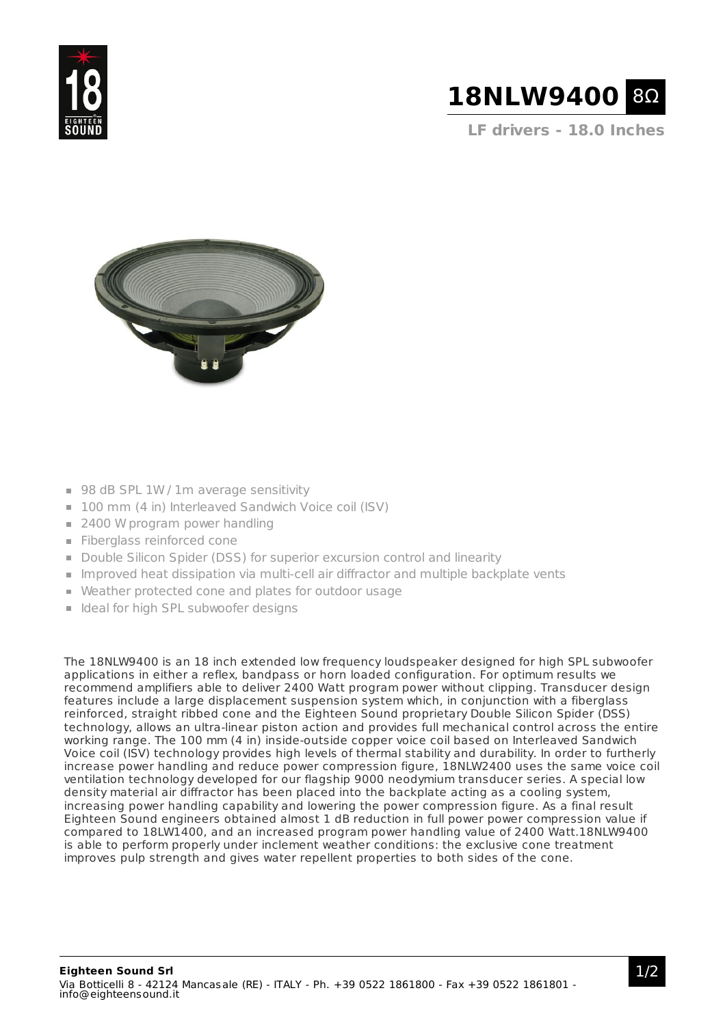



**LF drivers - 18.0 Inches**



- 98 dB SPL 1W / 1m average sensitivity
- 100 mm (4 in) Interleaved Sandwich Voice coil (ISV)
- 2400 W program power handling
- **Fiberglass reinforced cone**
- Double Silicon Spider (DSS) for superior excursion control and linearity
- Improved heat dissipation via multi-cell air diffractor and multiple backplate vents
- Weather protected cone and plates for outdoor usage
- I Ideal for high SPL subwoofer designs

The 18NLW9400 is an 18 inch extended low frequency loudspeaker designed for high SPL subwoofer applications in either a reflex, bandpass or horn loaded configuration. For optimum results we recommend amplifiers able to deliver 2400 Watt program power without clipping. Transducer design features include a large displacement suspension system which, in conjunction with a fiberglass reinforced, straight ribbed cone and the Eighteen Sound proprietary Double Silicon Spider (DSS) technology, allows an ultra-linear piston action and provides full mechanical control across the entire working range. The 100 mm (4 in) inside-outside copper voice coil based on Interleaved Sandwich Voice coil (ISV) technology provides high levels of thermal stability and durability. In order to furtherly increase power handling and reduce power compression figure, 18NLW2400 uses the same voice coil ventilation technology developed for our flagship 9000 neodymium transducer series. A special low density material air diffractor has been placed into the backplate acting as a cooling system, increasing power handling capability and lowering the power compression figure. As a final result Eighteen Sound engineers obtained almost 1 dB reduction in full power power compression value if compared to 18LW1400, and an increased program power handling value of 2400 Watt.18NLW9400 is able to perform properly under inclement weather conditions: the exclusive cone treatment improves pulp strength and gives water repellent properties to both sides of the cone.